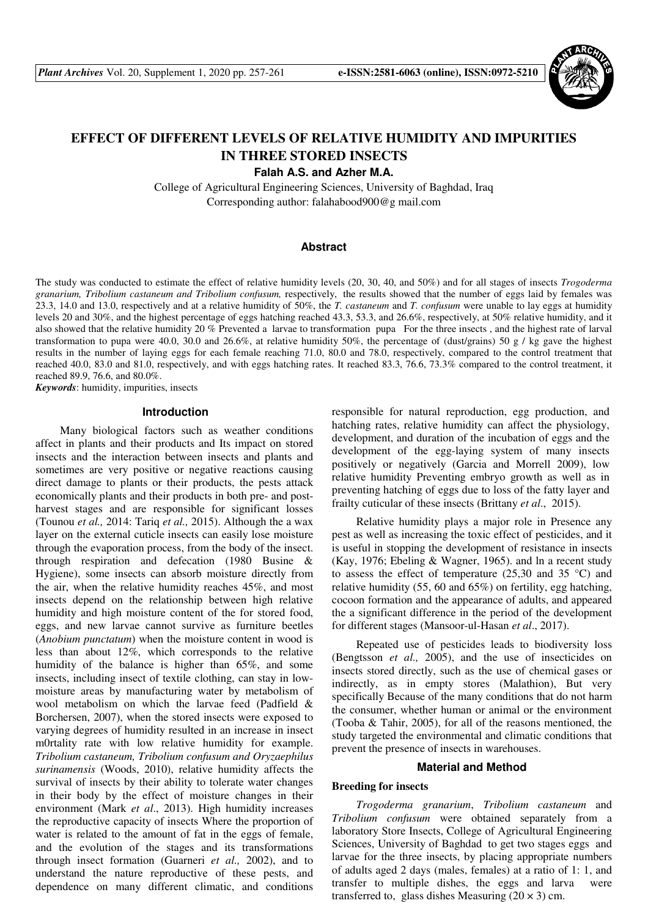

# **EFFECT OF DIFFERENT LEVELS OF RELATIVE HUMIDITY AND IMPURITIES IN THREE STORED INSECTS**

**Falah A.S. and Azher M.A.** 

College of Agricultural Engineering Sciences, University of Baghdad, Iraq Corresponding author: falahabood900@g mail.com

### **Abstract**

The study was conducted to estimate the effect of relative humidity levels (20, 30, 40, and 50%) and for all stages of insects *Trogoderma granarium, Tribolium castaneum and Tribolium confusum,* respectively, the results showed that the number of eggs laid by females was 23.3, 14.0 and 13.0, respectively and at a relative humidity of 50%, the *T. castaneum* and *T. confusum* were unable to lay eggs at humidity levels 20 and 30%, and the highest percentage of eggs hatching reached 43.3, 53.3, and 26.6%, respectively, at 50% relative humidity, and it also showed that the relative humidity 20 % Prevented a larvae to transformation pupa For the three insects , and the highest rate of larval transformation to pupa were 40.0, 30.0 and 26.6%, at relative humidity 50%, the percentage of (dust/grains) 50 g / kg gave the highest results in the number of laying eggs for each female reaching 71.0, 80.0 and 78.0, respectively, compared to the control treatment that reached 40.0, 83.0 and 81.0, respectively, and with eggs hatching rates. It reached 83.3, 76.6, 73.3% compared to the control treatment, it reached 89.9, 76.6, and 80.0%.

*Keywords*: humidity, impurities, insects

#### **Introduction**

Many biological factors such as weather conditions affect in plants and their products and Its impact on stored insects and the interaction between insects and plants and sometimes are very positive or negative reactions causing direct damage to plants or their products, the pests attack economically plants and their products in both pre- and postharvest stages and are responsible for significant losses (Tounou *et al.,* 2014: Tariq *et al.,* 2015). Although the a wax layer on the external cuticle insects can easily lose moisture through the evaporation process, from the body of the insect. through respiration and defecation (1980 Busine & Hygiene), some insects can absorb moisture directly from the air, when the relative humidity reaches 45%, and most insects depend on the relationship between high relative humidity and high moisture content of the for stored food, eggs, and new larvae cannot survive as furniture beetles (*Anobium punctatum*) when the moisture content in wood is less than about 12%, which corresponds to the relative humidity of the balance is higher than 65%, and some insects, including insect of textile clothing, can stay in lowmoisture areas by manufacturing water by metabolism of wool metabolism on which the larvae feed (Padfield & Borchersen, 2007), when the stored insects were exposed to varying degrees of humidity resulted in an increase in insect m0rtality rate with low relative humidity for example. *Tribolium castaneum, Tribolium confusum and Oryzaephilus surinamensis* (Woods, 2010), relative humidity affects the survival of insects by their ability to tolerate water changes in their body by the effect of moisture changes in their environment (Mark *et al*., 2013). High humidity increases the reproductive capacity of insects Where the proportion of water is related to the amount of fat in the eggs of female, and the evolution of the stages and its transformations through insect formation (Guarneri *et al.,* 2002), and to understand the nature reproductive of these pests, and dependence on many different climatic, and conditions

responsible for natural reproduction, egg production, and hatching rates, relative humidity can affect the physiology, development, and duration of the incubation of eggs and the development of the egg-laying system of many insects positively or negatively (Garcia and Morrell 2009), low relative humidity Preventing embryo growth as well as in preventing hatching of eggs due to loss of the fatty layer and frailty cuticular of these insects (Brittany *et al*., 2015).

Relative humidity plays a major role in Presence any pest as well as increasing the toxic effect of pesticides, and it is useful in stopping the development of resistance in insects (Kay, 1976; Ebeling & Wagner, 1965). and ln a recent study to assess the effect of temperature  $(25,30 \text{ and } 35 \text{ °C})$  and relative humidity (55, 60 and 65%) on fertility, egg hatching, cocoon formation and the appearance of adults, and appeared the a significant difference in the period of the development for different stages (Mansoor-ul-Hasan *et al*., 2017).

Repeated use of pesticides leads to biodiversity loss (Bengtsson *et al.,* 2005), and the use of insecticides on insects stored directly, such as the use of chemical gases or indirectly, as in empty stores (Malathion), But very specifically Because of the many conditions that do not harm the consumer, whether human or animal or the environment (Tooba & Tahir, 2005), for all of the reasons mentioned, the study targeted the environmental and climatic conditions that prevent the presence of insects in warehouses.

#### **Material and Method**

# **Breeding for insects**

*Trogoderma granarium*, *Tribolium castaneum* and *Tribolium confusum* were obtained separately from a laboratory Store Insects, College of Agricultural Engineering Sciences, University of Baghdad to get two stages eggs and larvae for the three insects, by placing appropriate numbers of adults aged 2 days (males, females) at a ratio of 1: 1, and transfer to multiple dishes, the eggs and larva were transferred to, glass dishes Measuring  $(20 \times 3)$  cm.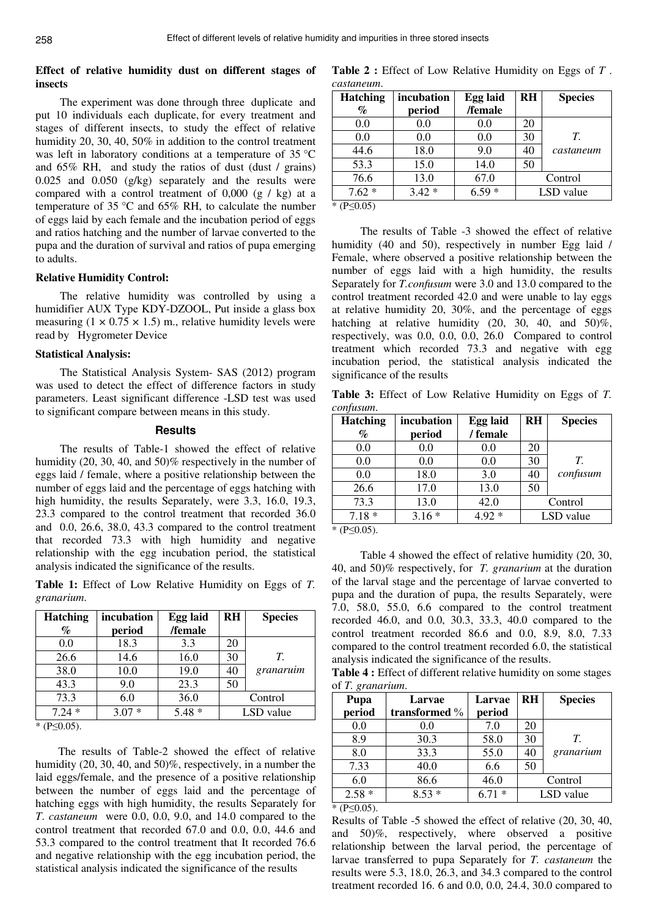# **Effect of relative humidity dust on different stages of insects**

The experiment was done through three duplicate and put 10 individuals each duplicate, for every treatment and stages of different insects, to study the effect of relative humidity 20, 30, 40, 50% in addition to the control treatment was left in laboratory conditions at a temperature of 35 °C and 65% RH, and study the ratios of dust (dust / grains) 0.025 and 0.050 (g/kg) separately and the results were compared with a control treatment of 0,000 (g / kg) at a temperature of 35 °C and 65% RH, to calculate the number of eggs laid by each female and the incubation period of eggs and ratios hatching and the number of larvae converted to the pupa and the duration of survival and ratios of pupa emerging to adults.

#### **Relative Humidity Control:**

The relative humidity was controlled by using a humidifier AUX Type KDY-DZOOL, Put inside a glass box measuring  $(1 \times 0.75 \times 1.5)$  m., relative humidity levels were read by Hygrometer Device

#### **Statistical Analysis:**

The Statistical Analysis System- SAS (2012) program was used to detect the effect of difference factors in study parameters. Least significant difference -LSD test was used to significant compare between means in this study.

#### **Results**

The results of Table-1 showed the effect of relative humidity (20, 30, 40, and 50)% respectively in the number of eggs laid / female, where a positive relationship between the number of eggs laid and the percentage of eggs hatching with high humidity, the results Separately, were 3.3, 16.0, 19.3, 23.3 compared to the control treatment that recorded 36.0 and 0.0, 26.6, 38.0, 43.3 compared to the control treatment that recorded 73.3 with high humidity and negative relationship with the egg incubation period, the statistical analysis indicated the significance of the results.

**Table 1:** Effect of Low Relative Humidity on Eggs of *T. granarium*.

| <b>Hatching</b>                       | incubation | <b>Egg laid</b> | <b>RH</b> | <b>Species</b> |
|---------------------------------------|------------|-----------------|-----------|----------------|
| %                                     | period     | /female         |           |                |
| 0.0                                   | 18.3       | 3.3             | 20        |                |
| 26.6                                  | 14.6       | 16.0            | 30        | $T_{\cdot}$    |
| 38.0                                  | 10.0       | 19.0            | 40        | granaruim      |
| 43.3                                  | 9.0        | 23.3            | 50        |                |
| 73.3                                  | 6.0        | 36.0            |           | Control        |
| $7.24*$                               | $3.07*$    | $5.48*$         |           | LSD value      |
| $\mathcal{L}$ $(1)$ $(2)$ $(3)$ $(3)$ |            |                 |           |                |

\* (P≤0.05).

 The results of Table-2 showed the effect of relative humidity (20, 30, 40, and 50)%, respectively, in a number the laid eggs/female, and the presence of a positive relationship between the number of eggs laid and the percentage of hatching eggs with high humidity, the results Separately for *T*. *castaneum* were 0.0, 0.0, 9.0, and 14.0 compared to the control treatment that recorded 67.0 and 0.0, 0.0, 44.6 and 53.3 compared to the control treatment that It recorded 76.6 and negative relationship with the egg incubation period, the statistical analysis indicated the significance of the results

**Table 2 :** Effect of Low Relative Humidity on Eggs of *T* . *castaneum*.

| <b>Hatching</b>    | incubation | Egg laid | <b>RH</b> | <b>Species</b> |
|--------------------|------------|----------|-----------|----------------|
| $\%$               | period     | /female  |           |                |
| 0.0                | 0.0        | 0.0      | 20        |                |
| 0.0                | 0.0        | 0.0      | 30        | $T_{\cdot}$    |
| 44.6               | 18.0       | 9.0      | 40        | castaneum      |
| 53.3               | 15.0       | 14.0     | 50        |                |
| 76.6               | 13.0       | 67.0     |           | Control        |
| $7.62*$            | $3.42*$    | $6.59*$  |           | LSD value      |
| * ( $P \le 0.05$ ) |            |          |           |                |

 The results of Table -3 showed the effect of relative humidity (40 and 50), respectively in number Egg laid / Female, where observed a positive relationship between the number of eggs laid with a high humidity, the results Separately for *T.confusum* were 3.0 and 13.0 compared to the control treatment recorded 42.0 and were unable to lay eggs at relative humidity 20, 30%, and the percentage of eggs hatching at relative humidity (20, 30, 40, and 50)%, respectively, was 0.0, 0.0, 0.0, 26.0 Compared to control treatment which recorded 73.3 and negative with egg incubation period, the statistical analysis indicated the significance of the results

**Table 3:** Effect of Low Relative Humidity on Eggs of *T. confusum*.

| incubation | <b>Egg laid</b> | <b>RH</b> | <b>Species</b> |
|------------|-----------------|-----------|----------------|
| period     |                 |           |                |
| 0.0        | 0.0             | 20        |                |
| 0.0        | 0.0             | 30        | $T_{\cdot}$    |
| 18.0       | 3.0             | 40        | confusum       |
| 17.0       | 13.0            | 50        |                |
| 13.0       | 42.0            |           | Control        |
| $3.16*$    | $4.92*$         |           | LSD value      |
|            |                 | / female  |                |

\* (P≤0.05).

 Table 4 showed the effect of relative humidity (20, 30, 40, and 50)% respectively, for *T. granarium* at the duration of the larval stage and the percentage of larvae converted to pupa and the duration of pupa, the results Separately, were 7.0, 58.0, 55.0, 6.6 compared to the control treatment recorded 46.0, and 0.0, 30.3, 33.3, 40.0 compared to the control treatment recorded 86.6 and 0.0, 8.9, 8.0, 7.33 compared to the control treatment recorded 6.0, the statistical analysis indicated the significance of the results.

**Table 4 :** Effect of different relative humidity on some stages of *T. granarium*.

| Pupa                                  | Larvae        | <b>RH</b><br>Larvae |    | <b>Species</b> |
|---------------------------------------|---------------|---------------------|----|----------------|
| period                                | transformed % | period              |    |                |
| 0.0                                   | 0.0           | 7.0                 | 20 |                |
| 8.9                                   | 30.3          | 58.0                | 30 | T.             |
| 8.0                                   | 33.3          | 55.0                | 40 | granarium      |
| 7.33                                  | 40.0          | 6.6                 | 50 |                |
| 6.0                                   | 86.6          | 46.0                |    | Control        |
| $2.58*$                               | $8.53*$       | $6.71*$             |    | LSD value      |
| $\mathcal{L}$ $(1)$ $(2)$ $(3)$ $(3)$ |               |                     |    |                |

 $*$  (P<0.05).

Results of Table -5 showed the effect of relative (20, 30, 40, and 50)%, respectively, where observed a positive relationship between the larval period, the percentage of larvae transferred to pupa Separately for *T. castaneum* the results were 5.3, 18.0, 26.3, and 34.3 compared to the control treatment recorded 16. 6 and 0.0, 0.0, 24.4, 30.0 compared to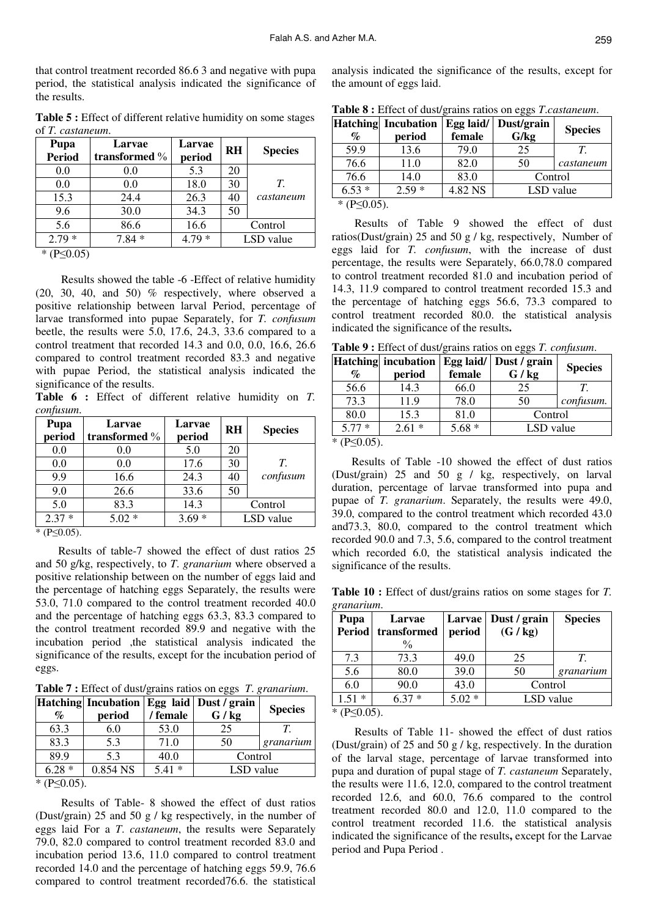that control treatment recorded 86.6 3 and negative with pupa period, the statistical analysis indicated the significance of the results.

**Table 5 :** Effect of different relative humidity on some stages of *T. castaneum*.

| Pupa<br><b>Period</b> | Larvae<br>transformed $\%$ | Larvae<br>period | <b>RH</b> | <b>Species</b> |
|-----------------------|----------------------------|------------------|-----------|----------------|
| 0.0                   | 0.0                        | 5.3              | 20        |                |
| 0.0                   | 0.0                        | 18.0             | 30        | T.             |
| 15.3                  | 24.4                       | 26.3             | 40        | castaneum      |
| 9.6                   | 30.0                       | 34.3             | 50        |                |
| 5.6                   | 86.6                       | 16.6             |           | Control        |
| $2.79*$               | $7.84*$                    | $4.79*$          |           | LSD value      |
| * $(P<0.05)$          |                            |                  |           |                |

 $(P \le 0.05)$ 

 Results showed the table -6 -Effect of relative humidity  $(20, 30, 40,$  and  $50)$  % respectively, where observed a positive relationship between larval Period, percentage of larvae transformed into pupae Separately, for *T. confusum* beetle, the results were 5.0, 17.6, 24.3, 33.6 compared to a control treatment that recorded 14.3 and 0.0, 0.0, 16.6, 26.6 compared to control treatment recorded 83.3 and negative with pupae Period, the statistical analysis indicated the significance of the results.

**Table 6 :** Effect of different relative humidity on *T. confusum*.

| Pupa<br>period | Larvae<br>transformed % | Larvae<br>period | <b>RH</b> | <b>Species</b> |
|----------------|-------------------------|------------------|-----------|----------------|
| 0.0            | 0.0                     | 5.0              | 20        |                |
| 0.0            | 0.0                     | 17.6             | 30        | $T_{\cdot}$    |
| 9.9            | 16.6                    | 24.3             | 40        | confusum       |
| 9.0            | 26.6                    | 33.6             | 50        |                |
| 5.0            | 83.3                    | 14.3             |           | Control        |
| ∗<br>2.37      | $5.02*$                 | $3.69*$          |           | LSD value      |
| * $(P<0.05)$   |                         |                  |           |                |

 $(P \leq 0.05)$ .

 Results of table-7 showed the effect of dust ratios 25 and 50 g/kg, respectively, to *T*. *granarium* where observed a positive relationship between on the number of eggs laid and the percentage of hatching eggs Separately, the results were 53.0, 71.0 compared to the control treatment recorded 40.0 and the percentage of hatching eggs 63.3, 83.3 compared to the control treatment recorded 89.9 and negative with the incubation period ,the statistical analysis indicated the significance of the results, except for the incubation period of eggs.

**Table 7 :** Effect of dust/grains ratios on eggs *T*. *granarium*.

|                                            |          |          | Hatching Incubation Egg laid Dust / grain | <b>Species</b> |
|--------------------------------------------|----------|----------|-------------------------------------------|----------------|
| $\%$                                       | period   | / female | G / kg                                    |                |
| 63.3                                       | 6.0      | 53.0     | 25                                        |                |
| 83.3                                       | 5.3      | 71.0     | 50                                        | granarium      |
| 89.9                                       | 53       | 40.0     | Control                                   |                |
| $6.28*$                                    | 0.854 NS | $5.41*$  | LSD value                                 |                |
| $*$ (D <sub><math>\angle</math>0.05)</sub> |          |          |                                           |                |

 $(P \leq 0.05)$ .

 Results of Table- 8 showed the effect of dust ratios (Dust/grain) 25 and 50 g / kg respectively, in the number of eggs laid For a *T*. *castaneum*, the results were Separately 79.0, 82.0 compared to control treatment recorded 83.0 and incubation period 13.6, 11.0 compared to control treatment recorded 14.0 and the percentage of hatching eggs 59.9, 76.6 compared to control treatment recorded76.6. the statistical

analysis indicated the significance of the results, except for the amount of eggs laid.

| Table 8 : Effect of dust/grains ratios on eggs <i>T.castaneum</i> . |                                              |        |      |                |
|---------------------------------------------------------------------|----------------------------------------------|--------|------|----------------|
|                                                                     | Hatching Incubation   Egg laid/   Dust/grain |        |      | <b>Species</b> |
| $\mathcal{O}_\mathcal{D}$                                           | period                                       | female | G/kg |                |
| 59.9                                                                | 13.6                                         | 79.0   |      |                |

|                                   | ------------ | $-55$ $\cdots$ | $\sim$ when $\sim$ when |                |
|-----------------------------------|--------------|----------------|-------------------------|----------------|
| $\%$                              | period       | female         | G/kg                    | <b>Species</b> |
| 59.9                              | 13.6         | 79.0           | 25                      |                |
| 76.6                              | 11.0         | 82.0           | 50                      | castaneum      |
| 76.6                              | 14.0         | 83.0           | Control                 |                |
| $6.53*$                           | $2.59*$      | 4.82 NS        | LSD value               |                |
| $*$ (D <sub>C</sub> A $\Omega$ C) |              |                |                         |                |

\* (P≤0.05).

 Results of Table 9 showed the effect of dust ratios(Dust/grain) 25 and 50 g / kg, respectively, Number of eggs laid for *T. confusum*, with the increase of dust percentage, the results were Separately, 66.0,78.0 compared to control treatment recorded 81.0 and incubation period of 14.3, 11.9 compared to control treatment recorded 15.3 and the percentage of hatching eggs 56.6, 73.3 compared to control treatment recorded 80.0. the statistical analysis indicated the significance of the results**.** 

**Table 9 :** Effect of dust/grains ratios on eggs *T. confusum*.

| $\%$               | Hatching incubation<br>period | female  | <b>Egg laid/</b> Dust / grain<br>G / kg | <b>Species</b> |
|--------------------|-------------------------------|---------|-----------------------------------------|----------------|
| 56.6               | 14.3                          | 66.0    | 25                                      |                |
| 73.3               | 11.9                          | 78.0    | 50                                      | confusum.      |
| 80.0               | 15.3                          | 81.0    | Control                                 |                |
| $5.77*$            | $2.61*$                       | $5.68*$ | LSD value                               |                |
| * $(P \le 0.05)$ . |                               |         |                                         |                |

 Results of Table -10 showed the effect of dust ratios (Dust/grain) 25 and 50 g / kg, respectively, on larval duration, percentage of larvae transformed into pupa and pupae of *T. granarium*. Separately, the results were 49.0, 39.0, compared to the control treatment which recorded 43.0 and73.3, 80.0, compared to the control treatment which recorded 90.0 and 7.3, 5.6, compared to the control treatment which recorded 6.0, the statistical analysis indicated the significance of the results.

**Table 10 :** Effect of dust/grains ratios on some stages for *T. granarium*.

| Pupa          | Larvae        | <b>Larvae</b> | Dust / grain | <b>Species</b> |
|---------------|---------------|---------------|--------------|----------------|
| <b>Period</b> | transformed   | period        | (G / kg)     |                |
|               | $\frac{0}{0}$ |               |              |                |
| 7.3           | 73.3          | 49.0          | 25           | T              |
| 5.6           | 80.0          | 39.0          | 50           | granarium      |
| 6.0           | 90.0          | 43.0          | Control      |                |
| $1.51*$       | $6.37*$       | $5.02*$       | LSD value    |                |
| $*$ (D<0.05)  |               |               |              |                |

 $(P \le 0.05)$ .

 Results of Table 11- showed the effect of dust ratios (Dust/grain) of 25 and 50 g / kg, respectively. In the duration of the larval stage, percentage of larvae transformed into pupa and duration of pupal stage of *T. castaneum* Separately, the results were 11.6, 12.0, compared to the control treatment recorded 12.6, and 60.0, 76.6 compared to the control treatment recorded 80.0 and 12.0, 11.0 compared to the control treatment recorded 11.6. the statistical analysis indicated the significance of the results**,** except for the Larvae period and Pupa Period .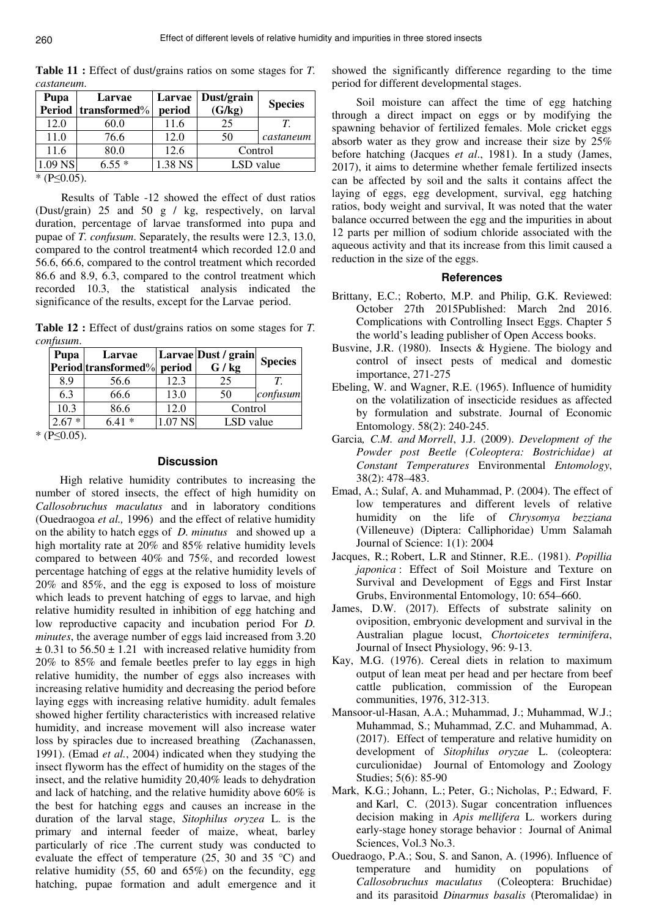**Pupa Period transformed**% **Larvae Larvae period Dust/grain (G/kg) Species**  12.0 60.0 11.6 25 11.0 76.6 12.0 50 *T. castaneum* 11.6 80.0 12.6 Control 1.09 NS 6.55 \* 1.38 NS LSD value

T**able 11 :** Effect of dust/grains ratios on some stages for *T. castaneum*.

 $*$  (P $\leq$ 0.05).

 Results of Table -12 showed the effect of dust ratios (Dust/grain) 25 and 50 g / kg, respectively, on larval duration, percentage of larvae transformed into pupa and pupae of *T. confusum*. Separately, the results were 12.3, 13.0, compared to the control treatment4 which recorded 12.0 and 56.6, 66.6, compared to the control treatment which recorded 86.6 and 8.9, 6.3, compared to the control treatment which recorded 10.3, the statistical analysis indicated the significance of the results, except for the Larvae period.

**Table 12 :** Effect of dust/grains ratios on some stages for *T. confusum*.

| Pupa           | Larvae                     |         | Larvae Dust / grain | <b>Species</b> |
|----------------|----------------------------|---------|---------------------|----------------|
|                | Period transformed% period |         | G / kg              |                |
| 8.9            | 56.6                       | 12.3    | 25                  |                |
| 6.3            | 66.6                       | 13.0    | 50                  | confusum       |
| 10.3           | 86.6                       | 12.0    | Control             |                |
| ∗              | $6.41*$                    | 1.07 NS | LSD value           |                |
| ⊧ <i>(</i> D<∩ |                            |         |                     |                |

\* (P≤0.05).

## **Discussion**

High relative humidity contributes to increasing the number of stored insects, the effect of high humidity on *Callosobruchus maculatus* and in laboratory conditions (Ouedraogoa *et al.,* 1996) and the effect of relative humidity on the ability to hatch eggs of *D. minutus* and showed up a high mortality rate at 20% and 85% relative humidity levels compared to between 40% and 75%, and recorded lowest percentage hatching of eggs at the relative humidity levels of 20% and 85%, and the egg is exposed to loss of moisture which leads to prevent hatching of eggs to larvae, and high relative humidity resulted in inhibition of egg hatching and low reproductive capacity and incubation period For *D. minutes*, the average number of eggs laid increased from 3.20  $\pm$  0.31 to 56.50  $\pm$  1.21 with increased relative humidity from 20% to 85% and female beetles prefer to lay eggs in high relative humidity, the number of eggs also increases with increasing relative humidity and decreasing the period before laying eggs with increasing relative humidity. adult females showed higher fertility characteristics with increased relative humidity, and increase movement will also increase water loss by spiracles due to increased breathing (Zachanassen, 1991). (Emad *et al.*, 2004) indicated when they studying the insect flyworm has the effect of humidity on the stages of the insect, and the relative humidity 20,40% leads to dehydration and lack of hatching, and the relative humidity above 60% is the best for hatching eggs and causes an increase in the duration of the larval stage, *Sitophilus oryzea* L. is the primary and internal feeder of maize, wheat, barley particularly of rice .The current study was conducted to evaluate the effect of temperature (25, 30 and 35 °C) and relative humidity  $(55, 60 \text{ and } 65\%)$  on the fecundity, egg hatching, pupae formation and adult emergence and it

showed the significantly difference regarding to the time period for different developmental stages.

Soil moisture can affect the time of egg hatching through a direct impact on eggs or by modifying the spawning behavior of fertilized females. Mole cricket eggs absorb water as they grow and increase their size by 25% before hatching (Jacques *et al*., 1981). In a study (James, 2017), it aims to determine whether female fertilized insects can be affected by soil and the salts it contains affect the laying of eggs, egg development, survival, egg hatching ratios, body weight and survival, It was noted that the water balance occurred between the egg and the impurities in about 12 parts per million of sodium chloride associated with the aqueous activity and that its increase from this limit caused a reduction in the size of the eggs.

# **References**

- Brittany, E.C.; Roberto, M.P. and Philip, G.K. Reviewed: October 27th 2015Published: March 2nd 2016. Complications with Controlling Insect Eggs. Chapter 5 the world's leading publisher of Open Access books.
- Busvine, J.R. (1980). Insects & Hygiene. The biology and control of insect pests of medical and domestic importance, 271-275
- Ebeling, W. and Wagner, R.E. (1965). Influence of humidity on the volatilization of insecticide residues as affected by formulation and substrate. Journal of Economic Entomology. 58(2): 240-245.
- Garcia*, C.M. and Morrell*, J.J. (2009). *Development of the Powder post Beetle (Coleoptera: Bostrichidae) at Constant Temperatures* Environmental *Entomology*, 38(2): 478–483.
- Emad, A.; Sulaf, A. and Muhammad, P. (2004). The effect of low temperatures and different levels of relative humidity on the life of *Chrysomya bezziana* (Villeneuve) (Diptera: Calliphoridae) Umm Salamah Journal of Science: 1(1): 2004
- Jacques, R.; Robert, L.R and Stinner, R.E.. (1981). *Popillia japonica* : Effect of Soil Moisture and Texture on Survival and Development of Eggs and First Instar Grubs, Environmental Entomology, 10: 654–660.
- James, D.W. (2017). Effects of substrate salinity on oviposition, embryonic development and survival in the Australian plague locust, *Chortoicetes terminifera*, Journal of Insect Physiology, 96: 9-13.
- Kay, M.G. (1976). Cereal diets in relation to maximum output of lean meat per head and per hectare from beef cattle publication, commission of the European communities, 1976, 312-313.
- Mansoor-ul-Hasan, A.A.; Muhammad, J.; Muhammad, W.J.; Muhammad, S.; Muhammad, Z.C. and Muhammad, A. (2017). Effect of temperature and relative humidity on development of *Sitophilus oryzae* L. (coleoptera: curculionidae) Journal of Entomology and Zoology Studies; 5(6): 85-90
- Mark, K.G.; Johann, L.; Peter, G.; Nicholas, P.; Edward, F. and Karl, C. (2013). Sugar concentration influences decision making in *Apis mellifera* L. workers during early-stage honey storage behavior : Journal of Animal Sciences, Vol.3 No.3.
- Ouedraogo, P.A.; Sou, S. and Sanon, A. (1996). Influence of temperature and humidity on populations of *Callosobruchus maculatus* (Coleoptera: Bruchidae) and its parasitoid *Dinarmus basalis* (Pteromalidae) in